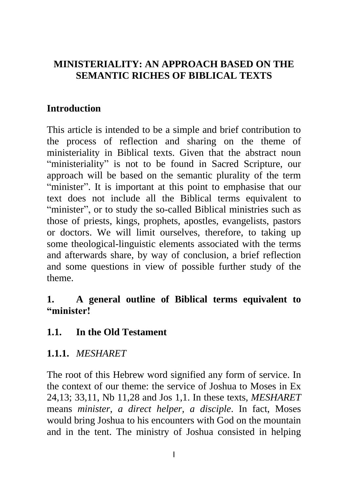## **MINISTERIALITY: AN APPROACH BASED ON THE SEMANTIC RICHES OF BIBLICAL TEXTS**

## **Introduction**

This article is intended to be a simple and brief contribution to the process of reflection and sharing on the theme of ministeriality in Biblical texts. Given that the abstract noun "ministeriality" is not to be found in Sacred Scripture, our approach will be based on the semantic plurality of the term "minister". It is important at this point to emphasise that our text does not include all the Biblical terms equivalent to "minister", or to study the so-called Biblical ministries such as those of priests, kings, prophets, apostles, evangelists, pastors or doctors. We will limit ourselves, therefore, to taking up some theological-linguistic elements associated with the terms and afterwards share, by way of conclusion, a brief reflection and some questions in view of possible further study of the theme.

### **1. A general outline of Biblical terms equivalent to "minister!**

### **1.1. In the Old Testament**

### **1.1.1.** *MESHARET*

The root of this Hebrew word signified any form of service. In the context of our theme: the service of Joshua to Moses in Ex 24,13; 33,11, Nb 11,28 and Jos 1,1. In these texts, *MESHARET* means *minister*, *a direct helper, a disciple*. In fact, Moses would bring Joshua to his encounters with God on the mountain and in the tent. The ministry of Joshua consisted in helping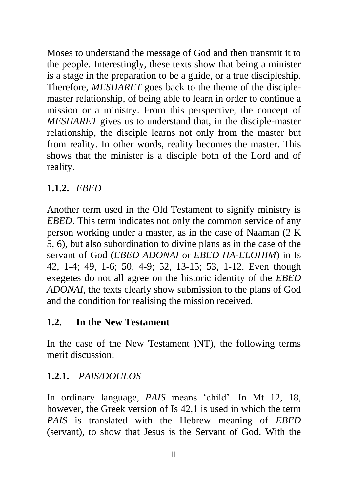Moses to understand the message of God and then transmit it to the people. Interestingly, these texts show that being a minister is a stage in the preparation to be a guide, or a true discipleship. Therefore, *MESHARET* goes back to the theme of the disciplemaster relationship, of being able to learn in order to continue a mission or a ministry. From this perspective, the concept of *MESHARET* gives us to understand that, in the disciple-master relationship, the disciple learns not only from the master but from reality. In other words, reality becomes the master. This shows that the minister is a disciple both of the Lord and of reality.

# **1.1.2.** *EBED*

Another term used in the Old Testament to signify ministry is *EBED*. This term indicates not only the common service of any person working under a master, as in the case of Naaman (2 K 5, 6), but also subordination to divine plans as in the case of the servant of God (*EBED ADONAI* or *EBED HA*-*ELOHIM*) in Is 42, 1-4; 49, 1-6; 50, 4-9; 52, 13-15; 53, 1-12. Even though exegetes do not all agree on the historic identity of the *EBED ADONAI*, the texts clearly show submission to the plans of God and the condition for realising the mission received.

# **1.2. In the New Testament**

In the case of the New Testament )NT), the following terms merit discussion:

# **1.2.1.** *PAIS/DOULOS*

In ordinary language, *PAIS* means 'child'. In Mt 12, 18, however, the Greek version of Is 42,1 is used in which the term *PAIS* is translated with the Hebrew meaning of *EBED* (servant), to show that Jesus is the Servant of God. With the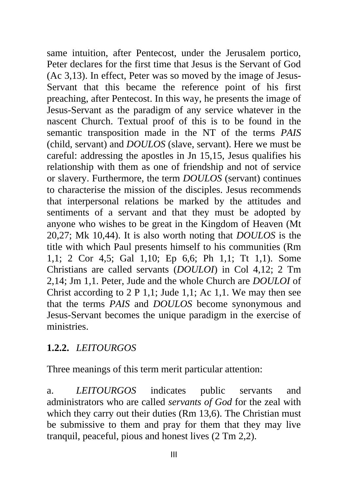same intuition, after Pentecost, under the Jerusalem portico, Peter declares for the first time that Jesus is the Servant of God (Ac 3,13). In effect, Peter was so moved by the image of Jesus-Servant that this became the reference point of his first preaching, after Pentecost. In this way, he presents the image of Jesus-Servant as the paradigm of any service whatever in the nascent Church. Textual proof of this is to be found in the semantic transposition made in the NT of the terms *PAIS* (child, servant) and *DOULOS* (slave, servant). Here we must be careful: addressing the apostles in Jn 15,15, Jesus qualifies his relationship with them as one of friendship and not of service or slavery. Furthermore, the term *DOULOS* (servant) continues to characterise the mission of the disciples. Jesus recommends that interpersonal relations be marked by the attitudes and sentiments of a servant and that they must be adopted by anyone who wishes to be great in the Kingdom of Heaven (Mt 20,27; Mk 10,44). It is also worth noting that *DOULOS* is the title with which Paul presents himself to his communities (Rm 1,1; 2 Cor 4,5; Gal 1,10; Ep 6,6; Ph 1,1; Tt 1,1). Some Christians are called servants (*DOULOI*) in Col 4,12; 2 Tm 2,14; Jm 1,1. Peter, Jude and the whole Church are *DOULOI* of Christ according to 2 P 1,1; Jude 1,1; Ac 1,1. We may then see that the terms *PAIS* and *DOULOS* become synonymous and Jesus-Servant becomes the unique paradigm in the exercise of ministries.

### **1.2.2.** *LEITOURGOS*

Three meanings of this term merit particular attention:

a. *LEITOURGOS* indicates public servants and administrators who are called *servants of God* for the zeal with which they carry out their duties (Rm 13,6). The Christian must be submissive to them and pray for them that they may live tranquil, peaceful, pious and honest lives (2 Tm 2,2).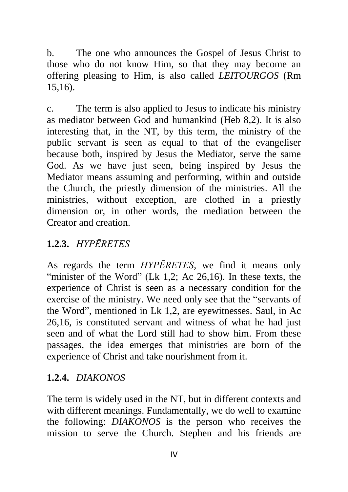b. The one who announces the Gospel of Jesus Christ to those who do not know Him, so that they may become an offering pleasing to Him, is also called *LEITOURGOS* (Rm 15,16).

c. The term is also applied to Jesus to indicate his ministry as mediator between God and humankind (Heb 8,2). It is also interesting that, in the NT, by this term, the ministry of the public servant is seen as equal to that of the evangeliser because both, inspired by Jesus the Mediator, serve the same God. As we have just seen, being inspired by Jesus the Mediator means assuming and performing, within and outside the Church, the priestly dimension of the ministries. All the ministries, without exception, are clothed in a priestly dimension or, in other words, the mediation between the Creator and creation.

# **1.2.3.** *HYPĒRETES*

As regards the term *HYPĒRETES*, we find it means only "minister of the Word" (Lk 1,2; Ac  $26,16$ ). In these texts, the experience of Christ is seen as a necessary condition for the exercise of the ministry. We need only see that the "servants of the Word", mentioned in Lk 1,2, are eyewitnesses. Saul, in Ac 26,16, is constituted servant and witness of what he had just seen and of what the Lord still had to show him. From these passages, the idea emerges that ministries are born of the experience of Christ and take nourishment from it.

# **1.2.4.** *DIAKONOS*

The term is widely used in the NT, but in different contexts and with different meanings. Fundamentally, we do well to examine the following: *DIAKONOS* is the person who receives the mission to serve the Church. Stephen and his friends are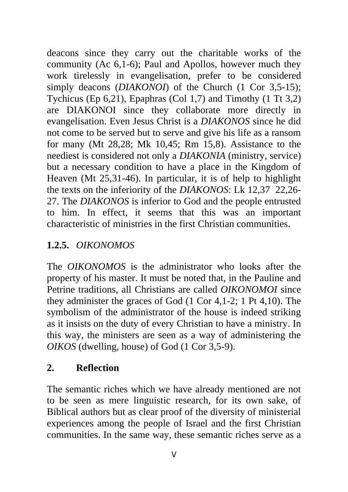deacons since they carry out the charitable works of the community (Ac 6,1-6); Paul and Apollos, however much they work tirelessly in evangelisation, prefer to be considered simply deacons (*DIAKONOI*) of the Church (1 Cor 3,5-15); Tychicus (Ep 6,21), Epaphras (Col 1,7) and Timothy (1 Tt 3,2) are DIAKONOI since they collaborate more directly in evangelisation. Even Jesus Christ is a *DIAKONOS* since he did not come to be served but to serve and give his life as a ransom for many (Mt 28,28; Mk 10,45; Rm 15,8). Assistance to the neediest is considered not only a *DIAKONIA* (ministry, service) but a necessary condition to have a place in the Kingdom of Heaven (Mt 25,31-46). In particular, it is of help to highlight the texts on the inferiority of the *DIAKONOS*: Lk 12,37 22,26- 27. The *DIAKONOS* is inferior to God and the people entrusted to him. In effect, it seems that this was an important characteristic of ministries in the first Christian communities.

# **1.2.5.** *OIKONOMOS*

The *OIKONOMOS* is the administrator who looks after the property of his master. It must be noted that, in the Pauline and Petrine traditions, all Christians are called *OIKONOMOI* since they administer the graces of God (1 Cor 4,1-2; 1 Pt 4,10). The symbolism of the administrator of the house is indeed striking as it insists on the duty of every Christian to have a ministry. In this way, the ministers are seen as a way of administering the *OIKOS* (dwelling, house) of God (1 Cor 3,5-9).

# **2. Reflection**

The semantic riches which we have already mentioned are not to be seen as mere linguistic research, for its own sake, of Biblical authors but as clear proof of the diversity of ministerial experiences among the people of Israel and the first Christian communities. In the same way, these semantic riches serve as a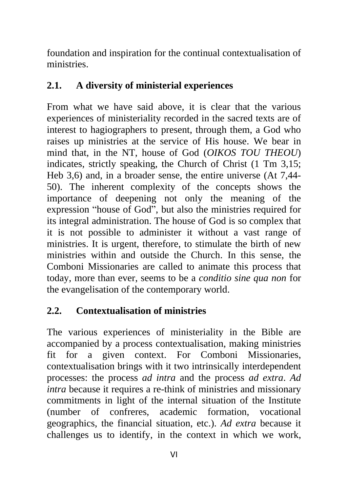foundation and inspiration for the continual contextualisation of ministries.

## **2.1. A diversity of ministerial experiences**

From what we have said above, it is clear that the various experiences of ministeriality recorded in the sacred texts are of interest to hagiographers to present, through them, a God who raises up ministries at the service of His house. We bear in mind that, in the NT, house of God (*OIKOS TOU THEOU*) indicates, strictly speaking, the Church of Christ (1 Tm 3,15; Heb 3,6) and, in a broader sense, the entire universe (At 7,44- 50). The inherent complexity of the concepts shows the importance of deepening not only the meaning of the expression "house of God", but also the ministries required for its integral administration. The house of God is so complex that it is not possible to administer it without a vast range of ministries. It is urgent, therefore, to stimulate the birth of new ministries within and outside the Church. In this sense, the Comboni Missionaries are called to animate this process that today, more than ever, seems to be a *conditio sine qua non* for the evangelisation of the contemporary world.

### **2.2. Contextualisation of ministries**

The various experiences of ministeriality in the Bible are accompanied by a process contextualisation, making ministries fit for a given context. For Comboni Missionaries, contextualisation brings with it two intrinsically interdependent processes: the process *ad intra* and the process *ad extra*. *Ad intra* because it requires a re-think of ministries and missionary commitments in light of the internal situation of the Institute (number of confreres, academic formation, vocational geographics, the financial situation, etc.). *Ad extra* because it challenges us to identify, in the context in which we work,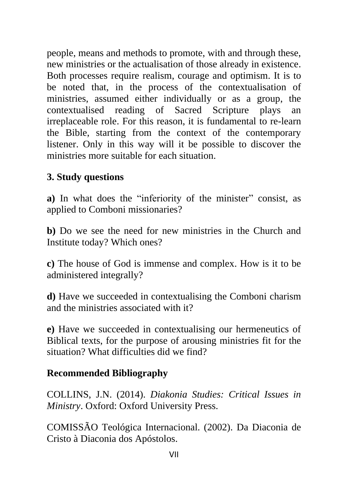people, means and methods to promote, with and through these, new ministries or the actualisation of those already in existence. Both processes require realism, courage and optimism. It is to be noted that, in the process of the contextualisation of ministries, assumed either individually or as a group, the contextualised reading of Sacred Scripture plays an irreplaceable role. For this reason, it is fundamental to re-learn the Bible, starting from the context of the contemporary listener. Only in this way will it be possible to discover the ministries more suitable for each situation.

# **3. Study questions**

**a)** In what does the "inferiority of the minister" consist, as applied to Comboni missionaries?

**b)** Do we see the need for new ministries in the Church and Institute today? Which ones?

**c)** The house of God is immense and complex. How is it to be administered integrally?

**d)** Have we succeeded in contextualising the Comboni charism and the ministries associated with it?

**e)** Have we succeeded in contextualising our hermeneutics of Biblical texts, for the purpose of arousing ministries fit for the situation? What difficulties did we find?

### **Recommended Bibliography**

COLLINS, J.N. (2014). *Diakonia Studies: Critical Issues in Ministry*. Oxford: Oxford University Press.

COMISSÃO Teológica Internacional. (2002). Da Diaconia de Cristo à Diaconia dos Apóstolos.